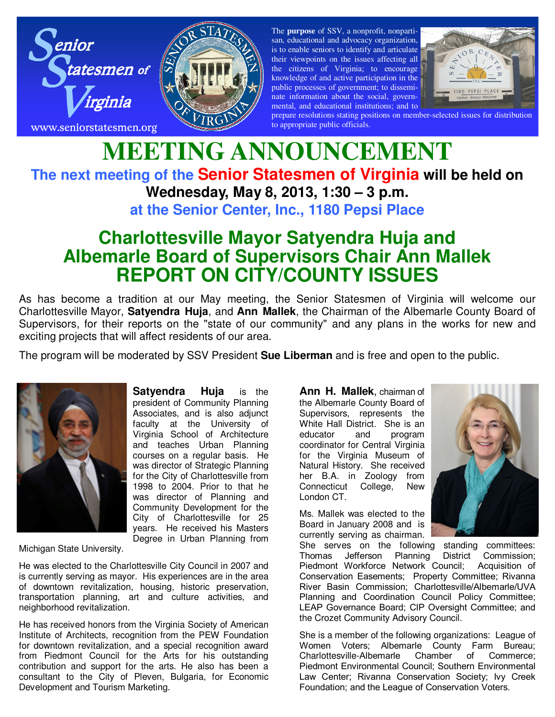



The **purpose** of SSV, a nonprofit, nonpartisan, educational and advocacy organization, is to enable seniors to identify and articulate their viewpoints on the issues affecting all the citizens of Virginia; to encourage knowledge of and active participation in the public processes of government; to disseminate information about the social, governmental, and educational institutions; and to



prepare resolutions stating positions on member-selected issues for distribution to appropriate public officials.

## **MEETING ANNOUNCEMENT The next meeting of the Senior Statesmen of Virginia will be held on Wednesday, May 8, 2013, 1:30 – 3 p.m. at the Senior Center, Inc., 1180 Pepsi Place**

## **Charlottesville Mayor Satyendra Huja and Albemarle Board of Supervisors Chair Ann Mallek REPORT ON CITY/COUNTY ISSUES**

As has become a tradition at our May meeting, the Senior Statesmen of Virginia will welcome our Charlottesville Mayor, **Satyendra Huja**, and **Ann Mallek**, the Chairman of the Albemarle County Board of Supervisors, for their reports on the "state of our community" and any plans in the works for new and exciting projects that will affect residents of our area.

The program will be moderated by SSV President **Sue Liberman** and is free and open to the public.



**Satyendra Huja** is the president of Community Planning Associates, and is also adjunct faculty at the University of Virginia School of Architecture and teaches Urban Planning courses on a regular basis. He was director of Strategic Planning for the City of Charlottesville from 1998 to 2004. Prior to that he was director of Planning and Community Development for the City of Charlottesville for 25 years. He received his Masters Degree in Urban Planning from

Michigan State University.

He was elected to the Charlottesville City Council in 2007 and is currently serving as mayor. His experiences are in the area of downtown revitalization, housing, historic preservation, transportation planning, art and culture activities, and neighborhood revitalization.

He has received honors from the Virginia Society of American Institute of Architects, recognition from the PEW Foundation for downtown revitalization, and a special recognition award from Piedmont Council for the Arts for his outstanding contribution and support for the arts. He also has been a consultant to the City of Pleven, Bulgaria, for Economic Development and Tourism Marketing.

**Ann H. Mallek**, chairman of the Albemarle County Board of Supervisors, represents the White Hall District. She is an educator and program coordinator for Central Virginia for the Virginia Museum of Natural History. She received her B.A. in Zoology from Connecticut College, New London CT.

Ms. Mallek was elected to the Board in January 2008 and is currently serving as chairman.



She serves on the following standing committees: Thomas Jefferson Planning District Commission; Piedmont Workforce Network Council; Acquisition of Conservation Easements; Property Committee; Rivanna River Basin Commission; Charlottesville/Albemarle/UVA Planning and Coordination Council Policy Committee; LEAP Governance Board; CIP Oversight Committee; and the Crozet Community Advisory Council.

She is a member of the following organizations: League of Women Voters; Albemarle County Farm Bureau; Charlottesville-Albemarle Chamber of Commerce; Piedmont Environmental Council; Southern Environmental Law Center; Rivanna Conservation Society; Ivy Creek Foundation; and the League of Conservation Voters.